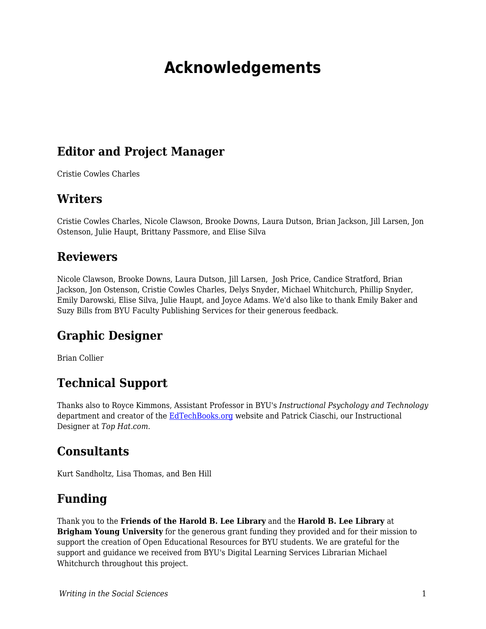# **Acknowledgements**

#### **Editor and Project Manager**

Cristie Cowles Charles

#### **Writers**

Cristie Cowles Charles, Nicole Clawson, Brooke Downs, Laura Dutson, Brian Jackson, Jill Larsen, Jon Ostenson, Julie Haupt, Brittany Passmore, and Elise Silva

#### **Reviewers**

Nicole Clawson, Brooke Downs, Laura Dutson, Jill Larsen, Josh Price, Candice Stratford, Brian Jackson, Jon Ostenson, Cristie Cowles Charles, Delys Snyder, Michael Whitchurch, Phillip Snyder, Emily Darowski, Elise Silva, Julie Haupt, and Joyce Adams. We'd also like to thank Emily Baker and Suzy Bills from BYU Faculty Publishing Services for their generous feedback.

## **Graphic Designer**

Brian Collier

## **Technical Support**

Thanks also to Royce Kimmons, Assistant Professor in BYU's *Instructional Psychology and Technology* department and creator of the [EdTechBooks.org](https://edtechbooks.org/writing/EdTechBooks.org) website and Patrick Ciaschi, our Instructional Designer at *Top Hat.com*.

#### **Consultants**

Kurt Sandholtz, Lisa Thomas, and Ben Hill

## **Funding**

Thank you to the **Friends of the Harold B. Lee Library** and the **Harold B. Lee Library** at **Brigham Young University** for the generous grant funding they provided and for their mission to support the creation of Open Educational Resources for BYU students. We are grateful for the support and guidance we received from BYU's Digital Learning Services Librarian Michael Whitchurch throughout this project.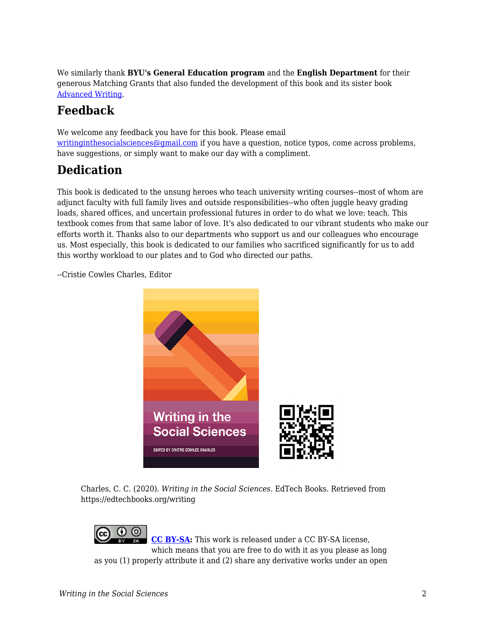We similarly thank **BYU's General Education program** and the **English Department** for their generous Matching Grants that also funded the development of this book and its sister book [Advanced Writing.](https://edtechbooks.org/advancedwriting)

## **Feedback**

We welcome any feedback you have for this book. Please email [writinginthesocialsciences@gmail.com](http://writinginthesocialsciences@gmail.com/) if you have a question, notice typos, come across problems, have suggestions, or simply want to make our day with a compliment.

## **Dedication**

This book is dedicated to the unsung heroes who teach university writing courses--most of whom are adjunct faculty with full family lives and outside responsibilities--who often juggle heavy grading loads, shared offices, and uncertain professional futures in order to do what we love: teach. This textbook comes from that same labor of love. It's also dedicated to our vibrant students who make our efforts worth it. Thanks also to our departments who support us and our colleagues who encourage us. Most especially, this book is dedicated to our families who sacrificed significantly for us to add this worthy workload to our plates and to God who directed our paths.

--Cristie Cowles Charles, Editor



Charles, C. C. (2020). *Writing in the Social Sciences*. EdTech Books. Retrieved from https://edtechbooks.org/writing

0 O **[CC BY-SA](https://creativecommons.org/licenses/by-sa/4.0):** This work is released under a CC BY-SA license, which means that you are free to do with it as you please as long as you (1) properly attribute it and (2) share any derivative works under an open